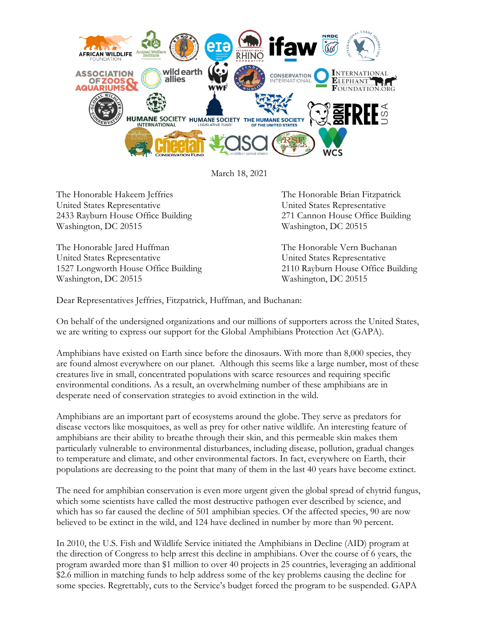

March 18, 2021

The Honorable Hakeem Jeffries The Honorable Brian Fitzpatrick United States Representative United States Representative 2433 Rayburn House Office Building 271 Cannon House Office Building Washington, DC 20515 Washington, DC 20515

The Honorable Jared Huffman The Honorable Vern Buchanan United States Representative United States Representative 1527 Longworth House Office Building 2110 Rayburn House Office Building Washington, DC 20515 Washington, DC 20515

Dear Representatives Jeffries, Fitzpatrick, Huffman, and Buchanan:

On behalf of the undersigned organizations and our millions of supporters across the United States, we are writing to express our support for the Global Amphibians Protection Act (GAPA).

Amphibians have existed on Earth since before the dinosaurs. With more than 8,000 species, they are found almost everywhere on our planet. Although this seems like a large number, most of these creatures live in small, concentrated populations with scarce resources and requiring specific environmental conditions. As a result, an overwhelming number of these amphibians are in desperate need of conservation strategies to avoid extinction in the wild.

Amphibians are an important part of ecosystems around the globe. They serve as predators for disease vectors like mosquitoes, as well as prey for other native wildlife. An interesting feature of amphibians are their ability to breathe through their skin, and this permeable skin makes them particularly vulnerable to environmental disturbances, including disease, pollution, gradual changes to temperature and climate, and other environmental factors. In fact, everywhere on Earth, their populations are decreasing to the point that many of them in the last 40 years have become extinct.

The need for amphibian conservation is even more urgent given the global spread of chytrid fungus, which some scientists have called the most destructive pathogen ever described by science, and which has so far caused the decline of 501 amphibian species. Of the affected species, 90 are now believed to be extinct in the wild, and 124 have declined in number by more than 90 percent.

In 2010, the U.S. Fish and Wildlife Service initiated the Amphibians in Decline (AID) program at the direction of Congress to help arrest this decline in amphibians. Over the course of 6 years, the program awarded more than \$1 million to over 40 projects in 25 countries, leveraging an additional \$2.6 million in matching funds to help address some of the key problems causing the decline for some species. Regrettably, cuts to the Service's budget forced the program to be suspended. GAPA